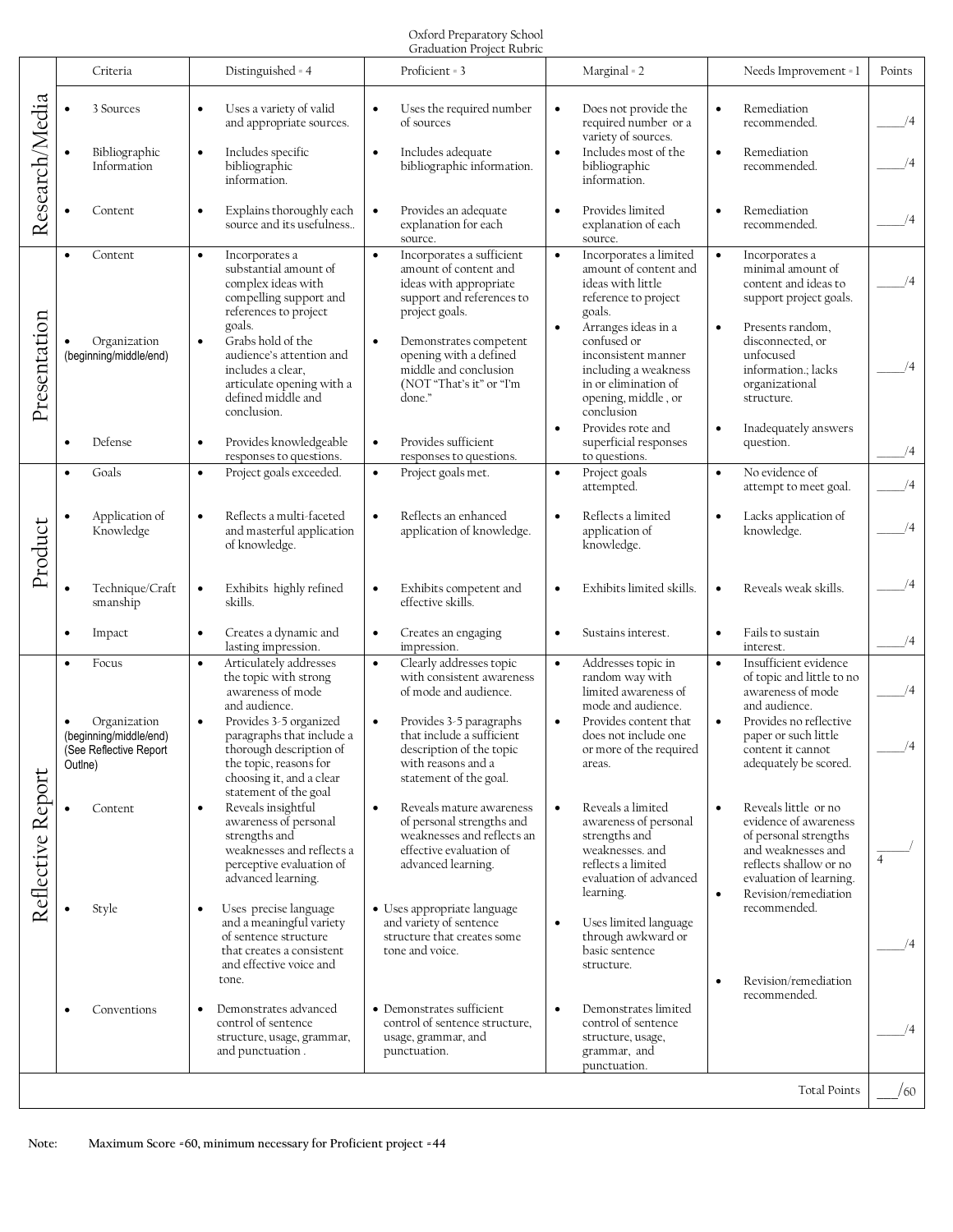## Oxford Preparatory School Graduation Project Rubric

|                                                                            |                                                                                                   |                                                                                                                                                                                                                             | OTAGGALIOII I TOJUU KUDITU                                                                                                                                                                                                     |                                                                                                                                                                                                     |                                                                                                                                                                                                                    |          |
|----------------------------------------------------------------------------|---------------------------------------------------------------------------------------------------|-----------------------------------------------------------------------------------------------------------------------------------------------------------------------------------------------------------------------------|--------------------------------------------------------------------------------------------------------------------------------------------------------------------------------------------------------------------------------|-----------------------------------------------------------------------------------------------------------------------------------------------------------------------------------------------------|--------------------------------------------------------------------------------------------------------------------------------------------------------------------------------------------------------------------|----------|
| Research/Media                                                             | Criteria                                                                                          | Distinguished = 4                                                                                                                                                                                                           | Proficient = 3                                                                                                                                                                                                                 | Marginal = 2                                                                                                                                                                                        | Needs Improvement = 1                                                                                                                                                                                              | Points   |
|                                                                            | 3 Sources                                                                                         | Uses a variety of valid<br>and appropriate sources.                                                                                                                                                                         | Uses the required number<br>$\bullet$<br>of sources                                                                                                                                                                            | Does not provide the<br>$\bullet$<br>required number or a<br>variety of sources.                                                                                                                    | Remediation<br>recommended.                                                                                                                                                                                        | /4       |
|                                                                            | Bibliographic<br>Information                                                                      | Includes specific<br>$\bullet$<br>bibliographic<br>information.                                                                                                                                                             | $\bullet$<br>Includes adequate<br>bibliographic information.                                                                                                                                                                   | $\bullet$<br>Includes most of the<br>bibliographic<br>information.                                                                                                                                  | Remediation<br>$\bullet$<br>recommended.                                                                                                                                                                           |          |
|                                                                            | Content                                                                                           | Explains thoroughly each<br>$\bullet$<br>source and its usefulness                                                                                                                                                          | Provides an adequate<br>$\bullet$<br>explanation for each<br>source.                                                                                                                                                           | Provides limited<br>$\bullet$<br>explanation of each<br>source.                                                                                                                                     | Remediation<br>$\bullet$<br>recommended.                                                                                                                                                                           | /4       |
| Presentation                                                               | Content<br>$\bullet$                                                                              | Incorporates a<br>$\bullet$<br>substantial amount of<br>complex ideas with<br>compelling support and<br>references to project                                                                                               | Incorporates a sufficient<br>$\bullet$<br>amount of content and<br>ideas with appropriate<br>support and references to<br>project goals.                                                                                       | Incorporates a limited<br>$\bullet$<br>amount of content and<br>ideas with little<br>reference to project<br>goals.                                                                                 | $\bullet$<br>Incorporates a<br>minimal amount of<br>content and ideas to<br>support project goals.                                                                                                                 | /4       |
|                                                                            | Organization<br>(beginning/middle/end)                                                            | goals.<br>Grabs hold of the<br>$\bullet$<br>audience's attention and<br>includes a clear.<br>articulate opening with a<br>defined middle and<br>conclusion.                                                                 | Demonstrates competent<br>$\bullet$<br>opening with a defined<br>middle and conclusion<br>(NOT "That's it" or "I'm<br>done."                                                                                                   | $\bullet$<br>Arranges ideas in a<br>confused or<br>inconsistent manner<br>including a weakness<br>in or elimination of<br>opening, middle, or<br>conclusion                                         | Presents random,<br>$\bullet$<br>disconnected, or<br>unfocused<br>information.; lacks<br>organizational<br>structure.                                                                                              | /4       |
|                                                                            | Defense<br>$\bullet$                                                                              | Provides knowledgeable<br>$\bullet$<br>responses to questions.                                                                                                                                                              | Provides sufficient<br>$\bullet$<br>responses to questions.                                                                                                                                                                    | Provides rote and<br>$\bullet$<br>superficial responses<br>to questions.                                                                                                                            | Inadequately answers<br>$\bullet$<br>question.                                                                                                                                                                     | /4       |
| Product                                                                    | Goals<br>$\bullet$                                                                                | Project goals exceeded.<br>$\bullet$                                                                                                                                                                                        | Project goals met.<br>$\bullet$                                                                                                                                                                                                | Project goals<br>$\bullet$<br>attempted.                                                                                                                                                            | No evidence of<br>$\bullet$<br>attempt to meet goal.                                                                                                                                                               | /4       |
|                                                                            | Application of<br>Knowledge                                                                       | Reflects a multi-faceted<br>$\bullet$<br>and masterful application<br>of knowledge.                                                                                                                                         | Reflects an enhanced<br>$\bullet$<br>application of knowledge.                                                                                                                                                                 | $\bullet$<br>Reflects a limited<br>application of<br>knowledge.                                                                                                                                     | Lacks application of<br>$\bullet$<br>knowledge.                                                                                                                                                                    |          |
|                                                                            | Technique/Craft<br>$\bullet$<br>smanship                                                          | Exhibits highly refined<br>$\bullet$<br>skills.                                                                                                                                                                             | Exhibits competent and<br>$\bullet$<br>effective skills.                                                                                                                                                                       | Exhibits limited skills.<br>$\bullet$                                                                                                                                                               | Reveals weak skills.<br>$\bullet$                                                                                                                                                                                  |          |
|                                                                            | Impact<br>$\bullet$                                                                               | Creates a dynamic and<br>$\bullet$<br>lasting impression.                                                                                                                                                                   | Creates an engaging<br>$\bullet$<br>impression.                                                                                                                                                                                | Sustains interest.<br>$\bullet$                                                                                                                                                                     | Fails to sustain<br>$\bullet$<br>interest.                                                                                                                                                                         | /4       |
| Reflective Report                                                          | Focus<br>$\bullet$<br>Organization<br>(beginning/middle/end)<br>(See Reflective Report<br>Outlne) | Articulately addresses<br>$\bullet$<br>the topic with strong<br>awareness of mode<br>and audience.<br>Provides 3-5 organized<br>$\bullet$<br>paragraphs that include a<br>thorough description of<br>the topic, reasons for | Clearly addresses topic<br>$\bullet$<br>with consistent awareness<br>of mode and audience.<br>Provides 3-5 paragraphs<br>that include a sufficient<br>description of the topic<br>with reasons and a<br>statement of the goal. | $\bullet$<br>Addresses topic in<br>random way with<br>limited awareness of<br>mode and audience.<br>Provides content that<br>$\bullet$<br>does not include one<br>or more of the required<br>areas. | Insufficient evidence<br>$\bullet$<br>of topic and little to no<br>awareness of mode<br>and audience.<br>Provides no reflective<br>$\bullet$<br>paper or such little<br>content it cannot<br>adequately be scored. | /4<br>/4 |
|                                                                            | Content                                                                                           | choosing it, and a clear<br>statement of the goal<br>Reveals insightful<br>$\bullet$<br>awareness of personal<br>strengths and<br>weaknesses and reflects a<br>perceptive evaluation of<br>advanced learning.               | Reveals mature awareness<br>$\bullet$<br>of personal strengths and<br>weaknesses and reflects an<br>effective evaluation of<br>advanced learning.                                                                              | Reveals a limited<br>$\bullet$<br>awareness of personal<br>strengths and<br>weaknesses. and<br>reflects a limited<br>evaluation of advanced<br>learning.                                            | Reveals little or no<br>$\bullet$<br>evidence of awareness<br>of personal strengths<br>and weaknesses and<br>reflects shallow or no<br>evaluation of learning.<br>Revision/remediation<br>$\bullet$                |          |
|                                                                            | Style                                                                                             | Uses precise language<br>$\bullet$<br>and a meaningful variety<br>of sentence structure<br>that creates a consistent<br>and effective voice and<br>tone.                                                                    | • Uses appropriate language<br>and variety of sentence<br>structure that creates some<br>tone and voice.                                                                                                                       | Uses limited language<br>$\bullet$<br>through awkward or<br>basic sentence<br>structure.                                                                                                            | recommended.<br>Revision/remediation<br>$\bullet$                                                                                                                                                                  |          |
|                                                                            | Conventions<br>$\bullet$                                                                          | Demonstrates advanced<br>control of sentence<br>structure, usage, grammar,<br>and punctuation.                                                                                                                              | • Demonstrates sufficient<br>control of sentence structure,<br>usage, grammar, and<br>punctuation.                                                                                                                             | Demonstrates limited<br>$\bullet$<br>control of sentence<br>structure, usage,<br>grammar, and<br>punctuation.                                                                                       | recommended.                                                                                                                                                                                                       |          |
|                                                                            |                                                                                                   |                                                                                                                                                                                                                             |                                                                                                                                                                                                                                |                                                                                                                                                                                                     | <b>Total Points</b>                                                                                                                                                                                                | /60      |
|                                                                            |                                                                                                   |                                                                                                                                                                                                                             |                                                                                                                                                                                                                                |                                                                                                                                                                                                     |                                                                                                                                                                                                                    |          |
| Maximum Score = 60, minimum necessary for Proficient project = 44<br>Note: |                                                                                                   |                                                                                                                                                                                                                             |                                                                                                                                                                                                                                |                                                                                                                                                                                                     |                                                                                                                                                                                                                    |          |